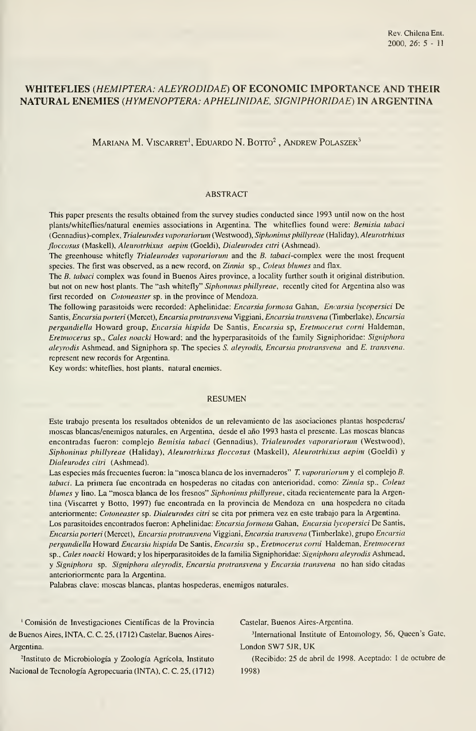## WHITEFLIES (HEMIPTERA: ALEYRODIDAE) OF ECONOMIC IMPORTANCE AND THEIR NATURAL ENEMIES (HYMENOPTERA: APHELINIDAE, SIGNIPHORIDAE) IN ARGENTINA

MARIANA M. VISCARRET<sup>1</sup>, EDUARDO N. BOTTO<sup>2</sup>, ANDREW POLASZEK<sup>3</sup>

#### ABSTRACT

This paper presents the results obtained from the survey studies conducted since 1993 until now on the host plants/whiteflies/natural enemies associations in Argentina. The whiteflies found were: Bemisia tabaci (Gennadius)-compiex, Trialeurodes vaporariorum (Westwood), Siphoninus phillyreae (Haiiday), Aleurotrhixus floccosus (Maskell), Aleurotrhixus aepim (Goeldi), Dialeurodes citri (Ashmead).

The greenhouse whitefly *Trialeurodes vaporariorum* and the B. tabaci-complex were the most frequent species. The first was observed, as a new record, on Zinnia sp., Coleus blumes and flax.

The B. tabaci complex was found in Buenos Aires province, a locality further south it original distribution. but not on new host plants. The "ash whitefly" Siphoninus phillyreae, recently cited for Argentina also was first recorded on *Cotoneaster* sp. in the province of Mendoza.

The following parasitoids were recorded: Aphelinidae: Encarsia formosa Gahan, Encarsia lycopersici De Santis, Encarsia porteri (Mercet), Encarsia protransvena Viggiani, Encarsia transvena (Timberlake), Encarsia pergandiella Howard group, Encarsia hispida De Santis, Encarsia sp, Eretmocerus corni Haldeman, Eretmocerus sp., Cales noacki Howard; and the hyperparasitoids of the family Signiphoridae: Signiphora aleyrodis Ashmead, and Signiphora sp. The species S. aleyrodis, Encarsia protransvena and E. transvena. represent new records for Argentina.

Key words: whiteflies, host plants, natural enemies.

#### RESUMEN

Este trabajo presenta los resultados obtenidos de un reievamiento de las asociaciones plantas hospederas/ moscas blancas/enemigos naturales, en Argentina, desde el año 1993 hasta el presente. Las moscas blancas encontradas fueron: complejo Bemisia tabaci (Gennadius), Trialeurodes vaporariorum (Westwood), Siphoninus phillyreae (Haiiday), Aleurotrhixus floccosus (Maskell), Aleurotrhixus aepim (Goeldi) y Dialeurodes citri (Ashmead).

Las especies más frecuentes fueron: la "mosca blanca de los invernaderos" T. vaporariorum y el complejo B. tabaci. La primera fue encontrada en hospederas no citadas con anterioridad, como: Zinnia sp.. Coleus blumes y lino. La "mosca blanca de los fresnos" Siphoninus phillyreae, citada recientemente para la Argentina (Viscarret y Botto, 1997) fue encontrada en la provincia de Mendoza en una hospedera no citada anteriormente: Cotoneaster sp. Dialeurodes citri se cita por primera vez en este trabajo para la Argentina. Los parasitoides encontrados fueron: Aphelinidae: *Encarsia formosa* Gahan, *Encarsia lycopersici* De Santis, Encarsia porteri (Mercet), Encarsia protransvena Viggiani, Encarsia transvena (Timberlake), grupo Encarsia pergandiella Howard Encarsia hispida De Santis, Encarsia sp., Eretmocerus corni Haldeman, Eretmocerus sp., Cales noacki Howard; y los hiperparasitoides de la familia Signiphoridae: Signiphora aleyrodis Ashmead, y Signiphora sp. Signiphora aleyrodis, Encarsia protransvena y Encarsia transvena no han sido citadas anterioriormente para la Argentina.

Palabras clave: moscas blancas, plantas hospederas, enemigos naturales.

' Comisión de Investigaciones Científicas de la Provincia Castelar, Buenos Aires-Argentina. de Buenos Aires, INTA, C. C. 25, (1712) Castelar, Buenos Aires- <sup>3</sup>International Institute of Entomology, 56, Queen's Gate, Argentma. London SW7 5JR, UK

Nacional de Tecnología Agropecuaria (INTA), C. C. 25, (1712) 1998)

-Instituto de Microbiología y Zoología Agrícola, Instituto (Recibido: 25 de abril de 1998. Aceptado: <sup>1</sup> de octubre de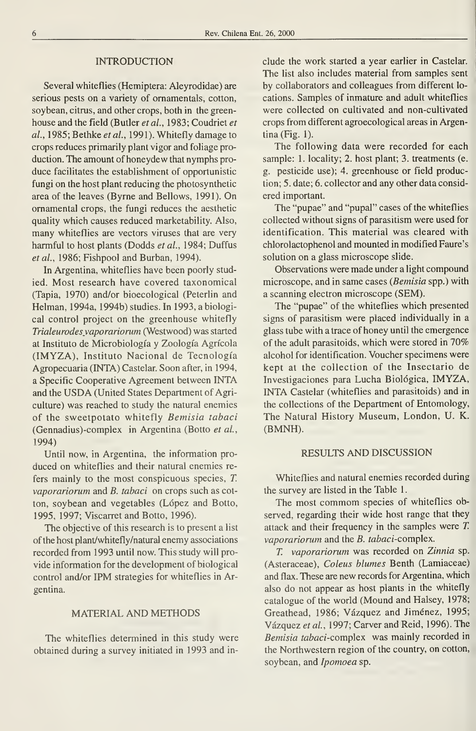## INTRODUCTION

Several whiteflies (Hemiptera: Aleyrodidae) are serious pests on a variety of ornamentals, cotton, soybean, citrus, and other crops, both in the green house and the field (Butler et al., 1983; Coudriet et al., 1985; Bethke et al., 1991). Whitefly damage to crops reduces primarily plant vigor and foliage production. The amount of honeydew that nymphs pro duce facilitates the establishment of opportunistic fungi on the host plant reducing the photosynthetic área of the leaves (Byrne and Bellows, 1991). On ornamental crops, the fungi reduces the aesthetic quality which causes reduced marketability. Also, many whiteflies are vectors viruses that are very harmful to host plants (Dodds et al., 1984; Duffus et al., 1986; Fishpool and Burban, 1994).

In Argentina, whiteflies have been poorly studied. Most research have covered taxonomical (Tapia, 1970) and/or bioecological (Peterlin and Helman, 1994a, 1994b) studies. In 1993, abiological control project on the greenhouse whitefly Trialeurodesyaporariorum (Westwood) was started at Instituto de Microbiología y Zoología Agrícola (IMYZA), Instituto Nacional de Tecnología Agropecuaria (INTA) Castelar. Soon after, in 1994, <sup>a</sup> Specifíc Cooperative Agreement between INTA and the USDA (United States Department of Agriculture) was reached to study the natural enemies of the sweetpotato whitefly Bemisia tabaci (Gennadius)-complex in Argentina (Botto et al., 199A)

Until now, in Argentina, the information pro duced on whiteflies and their natural enemies re fers mainly to the most conspicuous species, T. vaporariorum and B. tabaci on crops such as cotton, soybean and vegetables (López and Botto, 1995, 1997; Viscarret and Botto, 1996).

The objective of this research is to present a list of the host plant/whitefly/natural enemy associations recorded from 1993 until now. This study will pro vide information for the development of biological control and/or IPM strategies for whiteflies in Argentina.

## MATERIAL AND METHODS

The whiteflies determined in this study were obtained during a survey initiated in 1993 and include the work started a year earlier in Castelar. The list also includes material from samples sent by collaborators and colleagues from different lo cations. Samples of inmature and adult whiteflies were collected on cultivated and non-cultivated crops from different agroecological áreas in Argentina (Fig. 1).

The following data were recorded for each sample: 1. locality; 2. host plant; 3. treatments (e. g. pesticide use); 4. greenhouse or field production; 5. date; 6. collector and any other data consid ered important.

The "pupae" and "pupal" cases of the whiteflies collected without signs of parasitism were used for identification. This material was cleared with chlorolactophenol and mounted in modified Faure's solution on a glass microscope slide.

Observations were made under a light compound microscope, and in same cases {Bemisia spp.) with a scanning electron microscope (SEM).

The "pupae" of the whiteflies which presented signs of parasitism were placed individually in a glass tube with a trace of honey until the emergence of the adult parasitoids, which were stored in 70% alcohol for identification. Voucher specimens were kept at the collection of the Insectario de Investigaciones para Lucha Biológica, IMYZA, INTA Castelar (whiteflies and parasitoids) and in the collections of the Department of Entomology, The Natural History Museum, London, U. K. (BMNH).

### RESULTS AND DISCUSSION

Whiteflies and natural enemies recorded during the survey are listed in the Table 1.

The most commom species of whiteflies observed, regarding their wide host range that they attack and their frequency in the samples were T. vaporariorum and the  $B$ . tabaci-complex.

T. vaporariorum was recorded on Zinnia sp. (Asteraceae), Coleus blumes Benth (Lamiaceae) and flax. These are new records for Argentina, which also do not appear as host plants in the whitefly catalogue of the world (Mound and Halsey, 1978; Greathead, 1986; Vázquez and Jiménez, 1995; Vázquez et al, 1997; Carver and Reid, 1996). The Bemisia tabaci-complex was mainly recorded in the Northwestern region of the country, on cotton, soybean, and *Ipomoea* sp.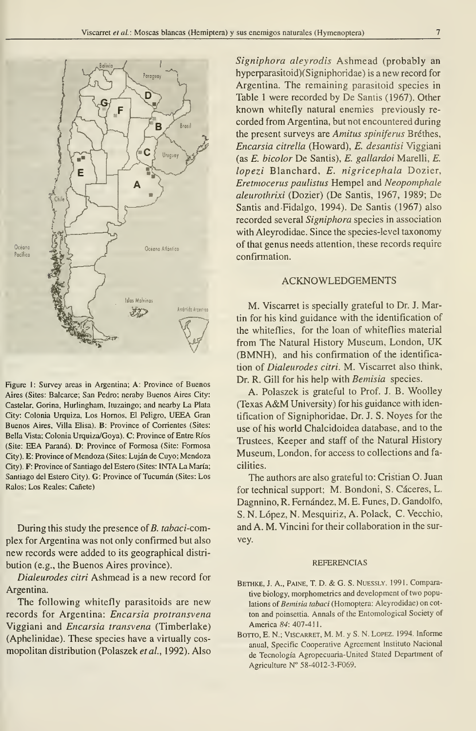

Figure 1: Survey areas in Argentina; A: Province of Buenos Aires (Sites: Balcarce; San Pedro; neraby Buenos Aires City: Castelar, Gorina, Hurlingham, Ituzaingo; and nearby La Plata City: Colonia Urquiza, Los Hornos, El Peligro, UEEA Gran Buenos Aires, Villa Elisa). B: Province of Corrientes (Sites: Bella Vista; Colonia Urquiza/Goya). C: Province of Entre Ríos (Site: EEA Paraná). D: Province of Formosa (Site: Formosa City). E: Province of Mendoza (Sites: Lujan de Cuyo; Mendoza City). F: Province of Santiago del Estero (Sites: INTA La María; Santiago del Estero City). G: Province of Tucumán (Sites: Los Ralos; Los Reales; Cañete)

During this study the presence of B. tabaci-complex for Argentina was not only confirmed but also new records were added to its geographical distri bution (e.g., the Buenos Aires province).

Dialeurodes citri Ashmead is a new record for Argentina.

The following whitefly parasitoids are new records for Argentina: Encarsia protransvena Viggiani and Encarsia transvena (Timberlake) (Aphelinidae). These species have a virtually cosmopolitan distribution (Polaszek et al., 1992). Also

Signiphora aleyrodis Ashmead (probably an hyperparasitoid)(Signiphoridae) is a new record for Argentina. The remaining parasitoid species in Table <sup>1</sup> were recorded by De Santis (1967). Other known whitefly natural enemies previously re corded from Argentina, but not encountered during the present surveys are Amitus spiniferus Bréthes, Encarsia citrella (Howard), E. desantisi Viggiani (as E. bicolor De Santis), E. gallardoi Marelli, E. lopezi Blanchard, E. nigricephala Dozier, Eretmocerus paulistus Hempel and Neopomphale aleurothrixi (Dozier) (De Santis, 1967, 1989; De Santis and-Fidalgo, 1994). De Santis (1967) also recorded several Signiphora species in association with Aleyrodidae. Since the species-level taxonomy of that genus needs attention, these records require confirmation.

## ACKNOWLEDGEMENTS

M. Viscarret is specially grateful to Dr. J. Martin for his kind guidance with the identification of the whiteflies, for the loan of whiteflies material from The Natural History Museum, London, UK (BMNH), and his confirmation of the identification of Dialeurodes citri. M. Viscarret also think, Dr. R. Gilí for his help with Bemisia species.

A. Polaszek is grateful to Prof. J. B. Woolley (Texas A&M University) for his guidance with identification of Signiphoridae, Dr. J. S. Noyes for the use of his world Chalcidoidea database, and to the Trustees, Keeper and staff of the Natural History Museum, London, for access to collections and facilities.

The authors are also grateful to: Cristian O. Juan for technical support; M. Bondoni, S. Cáceres, L. Dagnnino, R. Fernández, M. E. Funes, D. Gandolfo, S. N. López, N. Mesquiriz, A. Polack, C. Vecchio, and A. M. Vincini for their collaboration in the survey.

#### REFERENCIAS

- BETHKE, J. A., PAINE, T. D. & G. S. NUESSLY. 1991. Comparative biology, morphometrics and development of two populations of Bemisia tabaci (Homoptera: Aleyrodidae) on cotton and poinsettia. Annals of the Entomological Society of America 84: 407-411.
- BOTTO, E. N.; VISCARRET, M. M. y S. N. LOPEZ. 1994. Informe anual, Specific Cooperative Agreement Instituto Nacional de Tecnología Agropecuaria-United Stated Department of Agriculture N° 58-40I2-3-F069.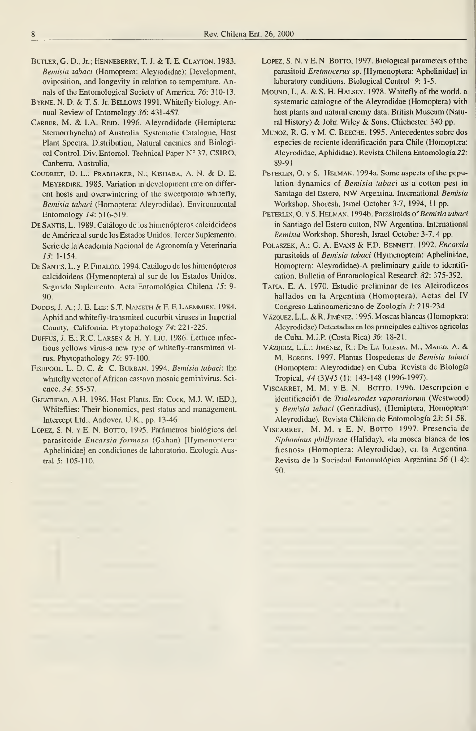- BuTLER, G. D., Jr.; Henneberry, T. J. & T. E. Clayton. 1983. Bemisia tabaci (Homoptera: Aleyrodidae): Development, oviposition, and longevity in relation to temperature. Annals of the Entomological Society of America. 76: 310-13.
- Byrne, N. D. & T. S. Jr. Bellows 1991. Whitefly biology. Annual Review of Entomology 36: 431-457.
- CARBER, M. & 1.A. REID. 1996. Aleyrodidade (Hemiptera: Stemorrhyncha) of Australia. Systematic Catalogue, Host Plant Spectra, Distribution, Natural enemies and Biological Control. Div. Entomol. Technical Paper N° 37, CSIRO, Canberra, Australia.
- CouDRiET, D. L.; Prabhaker, N.; Kishaba, A. N. & D. E. MEYERDIRK. 1985. Variation in development rate on different hosts and overwintering of the sweetpotato whitefly, Bemisia tabaci (Homoptera: Aleyrodidae). Environmental Entomology 14: 516-519.
- DE SANTIS, L. 1989. Catálogo de los himenópteros calcidoideos de América al sur de los Estados Unidos. Tercer Suplemento. Serie de la Academia Nacional de Agronomía y Veterinaria 13: 1-154.
- DE SANTIS, L. y P. FIDALGO. 1994. Catálogo de los himenópteros calcidoideos (Hymenoptera) al sur de los Estados Unidos. Segundo Suplemento. Acta Entomológica Chilena 15: 9-90.
- DODDS, J. A.; J. E. Lee; S.T. Nameth & F. F. Laemmien. 1984. Aphid and whitefly-transmited cucurbit viruses in Imperial County, California. Phytopathology 74: 221-225.
- DuFFUS, J. E.; R.C. Larsen & H.Y. Liu. 1986. Lettuce infectious yellows virus-a new type of whitefly-transmitted vi rus. Phytopathology 76: 97-100.
- FISHPOOL, L. D. C. & C. BURBAN. 1994. Bemisia tabaci: the whitefly vector of African cassava mosaic geminivirus. Science. 34: 55-57.
- Greathead, A.H. 1986. Host Plants. En: Cock, M.J. W. (ED.), Whiteflies: Their bionomics, pest status and management, Intercept Ltd., Andover, U.K., pp. 13-46.
- LOPEZ, S. N. y E. N. BOTTO, 1995. Parámetros biológicos del parasitoide Encarsia formosa (Gahan) [Hymenoptera: Aphelinidae] en condiciones de laboratorio. Ecología Austral 5: 105-110.
- LOPEZ, S. N. Y E. N. BOTTO, 1997. Biological parameters of the parasitoid Eretmocerus sp. [Hymenoptera: Aphelinidae] in laboratory conditions. Biological Control 9: 1-5.
- MOUND, L. A. & S. H. HALSEY. 1978. Whitefly of the world. a systematic catalogue of the Aleyrodidae (Homoptera) with host plants and natural enemy data. British Museum (Natural History) & John Wiley & Sons, Chichester. <sup>340</sup> pp.
- Muñoz, R. G. y M. C. Beeche. 1995. Antecedentes sobre dos especies de reciente identificación para Chile (Homoptera: Aleyrodidae, Aphididae). Revista Chilena Entomología 22: 89-91
- PETERLIN, O. Y S. HELMAN. 1994a. Some aspects of the population dynamics of Bemisia tabaci as a cotton pest in Santiago del Estero, NW Argentina. International Bemisia Workshop. Shoresh, Israel October 3-7, 1994, <sup>11</sup> pp.
- PETERLIN, O. Y S. HELMAN. 1994b. Parasitoids of Bemisia tabaci in Santiago del Estero cotton, NW Argentina. International Bemisia Workshop. Shoresh, Israel October 3-7, 4 pp.
- POLASZEK, A.; G. A. Evans & F.D. BENNETT. 1992. Encarsia parasitoids of Bemisia tabaci (Hymenoptera: Aphelinidae, Homoptera: Aleyrodidae)-A preliminary guide to identification. Bulletin of Entomological Research 82: 375-392.
- Tapia, E. A. 1970. Estudio preliminar de los Aleirodideos hallados en la Argentina (Homoptera). Actas del IV Congreso Latinoamericano de Zoología 1: 219-234.
- Vázquez, L.L. & R. Jiménez. ;995. Moscas blancas (Homoptera: Aleyrodidae) Detectadas en los principales cultivos agrícolas de Cuba. M.I.P (Costa Rica) 36: 18-21.
- Vázquez, L.L.; Jiménez, R.; De La Iglesia, M.; Mateo, A. & M. Borges. 1997. Plantas Hospederas de Bemisia tabaci (Homoptera: Aleyrodidae) en Cuba. Revista de Biología Tropical, 44 (3)/45 (1): 143-148 (1996-1997).
- VisCARRET, M. M. Y E. N. BoTTO. 1996. Descripción e identificación de Trialeurodes vaporariorum (Westwood) y Bemisia tabaci (Gennadius), (Hemiptera, Homoptera: Aleyrodidae). Revista Chilena de Entomología 23: 51-58.
- VISCARRET, M. M. Y E. N. BOTTO. 1997. Presencia de Siphoninus phillyreae (Haliday), «la mosca blanca de los fresnos» (Homoptera: Aleyrodidae), en la Argentina. Revista de la Sociedad Entomológica Argentina 56 (1-4): 90.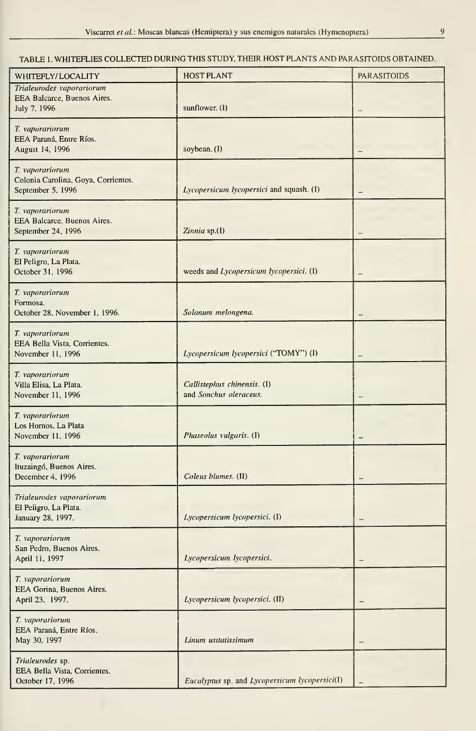# TABLE 1. WHITEFLIES COLLECTED DURING THIS STUDY, THEIR HOST PLANTS AND PARASITOIDS OBTAINED.

| WHITEFLY/LOCALITY                                                           | <b>HOST PLANT</b>                                     | <b>PARASITOIDS</b>       |
|-----------------------------------------------------------------------------|-------------------------------------------------------|--------------------------|
| Trialeurodes vaporariorum<br>EEA Balcarce, Buenos Aires.<br>July 7, 1996    | sunflower. (1)                                        |                          |
| T. vaporariorum<br>EEA Paraná, Entre Ríos.<br>August 14, 1996               | soybean. (I)                                          |                          |
| T. vaporariorum<br>Colonia Carolina, Goya, Corrientes.<br>September 5, 1996 | Lycopersicum lycopersici and squash. (I)              |                          |
| T. vaporariorum<br>EEA Balcarce, Buenos Aires.<br>September 24, 1996        | Zinnia sp.(I)                                         |                          |
| T. vaporariorum<br>El Peligro, La Plata.<br>October 31, 1996                | weeds and Lycopersicum lycopersici. (1)               |                          |
| T. vaporariorum<br>Formosa.<br>October 28, November 1, 1996.                | Solanum melongena.                                    |                          |
| T. vaporariorum<br>EEA Bella Vista, Corrientes.<br>November 11, 1996        | Lycopersicum lycopersici ("TOMY") (I)                 |                          |
| T. vaporariorum<br>Villa Elisa, La Plata.<br>November 11, 1996              | Callistephus chinensis. (I)<br>and Sonchus oleraceus. |                          |
| T. vaporariorum<br>Los Hornos, La Plata<br>November 11, 1996                | Phaseolus vulgaris. (1)                               |                          |
| T. vaporariorum<br>Ituzaingó, Buenos Aires.<br>December 4, 1996             | Coleus blumes. (II)                                   |                          |
| Trialeurodes vaporariorum<br>El Peligro, La Plata.<br>January 28, 1997.     | Lycopersicum lycopersici. (I)                         |                          |
| T. vaporariorum<br>San Pedro, Buenos Aires.<br>April 11, 1997               | Lycopersicum lycopersici.                             | $\overline{\phantom{0}}$ |
| T. vaporariorum<br>EEA Gorina, Buenos Aires.<br>April 23, 1997.             | Lycopersicum lycopersici. (II)                        | $\overline{\phantom{0}}$ |
| T. vaporariorum<br>EEA Paraná, Entre Ríos.<br>May 30, 1997                  | Linum usitatissimum                                   |                          |
| Trialeurodes sp.<br>EEA Bella Vista, Corrientes.<br>October 17, 1996        | Eucalyptus sp. and Lycopersicum lycopersici(I)        |                          |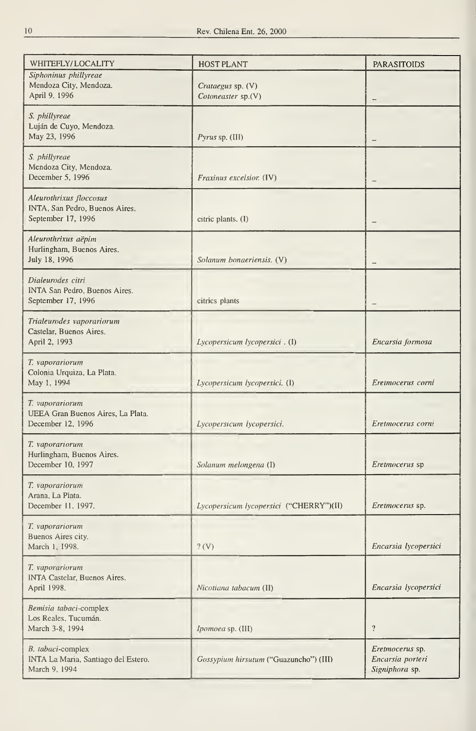| WHITEFLY/LOCALITY                                                               | <b>HOST PLANT</b>                       | <b>PARASITOIDS</b>                                    |
|---------------------------------------------------------------------------------|-----------------------------------------|-------------------------------------------------------|
| Siphoninus phillyreae<br>Mendoza City, Mendoza.<br>April 9, 1996                | Crataegus sp. (V)<br>Cotoneaster sp.(V) |                                                       |
| S. phillyreae<br>Luján de Cuyo, Mendoza.<br>May 23, 1996                        | Pyrus sp. (III)                         |                                                       |
| S. phillyreae<br>Mendoza City, Mendoza.<br>December 5, 1996                     | Fraxinus excelsior. (IV)                |                                                       |
| Aleurothrixus floccosus<br>INTA, San Pedro, Buenos Aires.<br>September 17, 1996 | citric plants. (I)                      |                                                       |
| Aleurothrixus aëpim<br>Hurlingham, Buenos Aires.<br>July 18, 1996               | Solanum bonaeriensis. (V)               |                                                       |
| Dialeurodes citri<br>INTA San Pedro, Buenos Aires.<br>September 17, 1996        | citrics plants                          |                                                       |
| Trialeurodes vaporariorum<br>Castelar, Buenos Aires.<br>April 2, 1993           | Lycopersicum lycopersici. (I)           | Encarsia formosa                                      |
| T. vaporariorum<br>Colonia Urquiza, La Plata.<br>May 1, 1994                    | Lycopersicum lycopersici. (I)           | Eretmocerus corni                                     |
| T. vaporariorum<br>UEEA Gran Buenos Aires, La Plata.<br>December 12, 1996       | Lycopersicum lycopersici.               | Eretmocerus corni                                     |
| T. vaporariorum<br>Hurlingham, Buenos Aires.<br>December 10, 1997               | Solanum melongena (I)                   | Eretmocerus sp                                        |
| T. vaporariorum<br>Arana, La Plata.<br>December 11, 1997.                       | Lycopersicum lycopersici ("CHERRY")(II) | Eretmocerus sp.                                       |
| T. vaporariorum<br>Buenos Aires city.<br>March 1, 1998.                         | $?$ (V)                                 | Encarsia lycopersici                                  |
| T. vaporariorum<br><b>INTA Castelar, Buenos Aires.</b><br>April 1998.           | Nicotiana tabacum (II)                  | Encarsia lycopersici                                  |
| Bemisia tabaci-complex<br>Los Reales, Tucumán.<br>March 3-8, 1994               | Ipomoea sp. (III)                       | $\overline{\mathbf{r}}$                               |
| B. tabaci-complex<br>INTA La Maria, Santiago del Estero.<br>March 9, 1994       | Gossypium hirsutum ("Guazuncho") (III)  | Eretmocerus sp.<br>Encarsia porteri<br>Signiphora sp. |